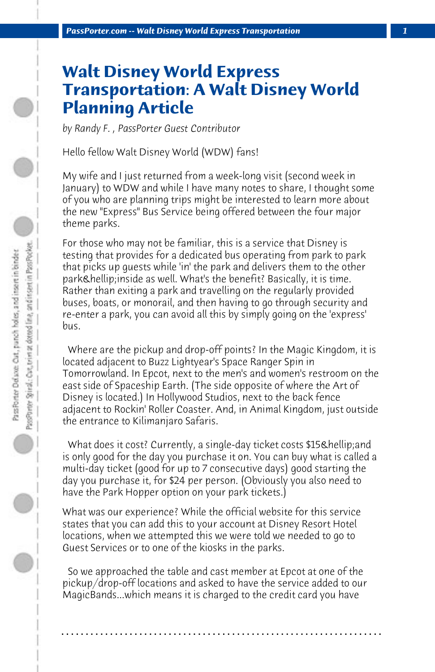## **Walt Disney World Express Transportation: A Walt Disney World Planning Article**

*by Randy F. , PassPorter Guest Contributor*

Hello fellow Walt Disney World (WDW) fans!

My wife and I just returned from a week-long visit (second week in January) to WDW and while I have many notes to share, I thought some of you who are planning trips might be interested to learn more about the new "Express" Bus Service being offered between the four major theme parks.

For those who may not be familiar, this is a service that Disney is testing that provides for a dedicated bus operating from park to park that picks up guests while 'in' the park and delivers them to the other park… inside as well. What's the benefit? Basically, it is time. Rather than exiting a park and travelling on the regularly provided buses, boats, or monorail, and then having to go through security and re-enter a park, you can avoid all this by simply going on the 'express' bus.

 Where are the pickup and drop-off points? In the Magic Kingdom, it is located adjacent to Buzz Lightyear's Space Ranger Spin in Tomorrowland. In Epcot, next to the men's and women's restroom on the east side of Spaceship Earth. (The side opposite of where the Art of Disney is located.) In Hollywood Studios, next to the back fence adjacent to Rockin' Roller Coaster. And, in Animal Kingdom, just outside the entrance to Kilimanjaro Safaris.

What does it cost? Currently, a single-day ticket costs \$15 & hellip; and is only good for the day you purchase it on. You can buy what is called a multi-day ticket (good for up to 7 consecutive days) good starting the day you purchase it, for \$24 per person. (Obviously you also need to have the Park Hopper option on your park tickets.)

What was our experience? While the official website for this service states that you can add this to your account at Disney Resort Hotel locations, when we attempted this we were told we needed to go to Guest Services or to one of the kiosks in the parks.

 So we approached the table and cast member at Epcot at one of the pickup/drop-off locations and asked to have the service added to our MagicBands...which means it is charged to the credit card you have

**. . . . . . . . . . . . . . . . . . . . . . . . . . . . . . . . . . . . . . . . . . . . . . . . . . . . . . . . . . . . . . . . . .**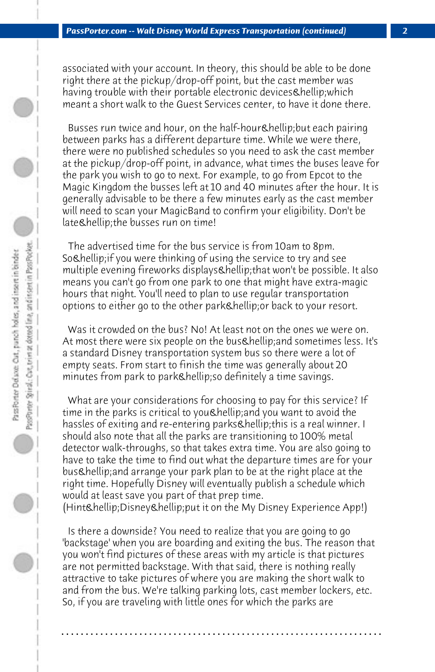associated with your account. In theory, this should be able to be done right there at the pickup/drop-off point, but the cast member was having trouble with their portable electronic devices & hellip; which meant a short walk to the Guest Services center, to have it done there.

Busses run twice and hour, on the half-hour & hellip; but each pairing between parks has a different departure time. While we were there, there were no published schedules so you need to ask the cast member at the pickup/drop-off point, in advance, what times the buses leave for the park you wish to go to next. For example, to go from Epcot to the Magic Kingdom the busses left at 10 and 40 minutes after the hour. It is generally advisable to be there a few minutes early as the cast member will need to scan your MagicBand to confirm your eligibility. Don't be late & hellip; the busses run on time!

 The advertised time for the bus service is from 10am to 8pm. So & hellip; if you were thinking of using the service to try and see multiple evening fireworks displays & hellip; that won't be possible. It also means you can't go from one park to one that might have extra-magic hours that night. You'll need to plan to use regular transportation options to either go to the other park… or back to your resort.

 Was it crowded on the bus? No! At least not on the ones we were on. At most there were six people on the bus & hellip; and sometimes less. It's a standard Disney transportation system bus so there were a lot of empty seats. From start to finish the time was generally about 20 minutes from park to park & hellip; so definitely a time savings.

 What are your considerations for choosing to pay for this service? If time in the parks is critical to you & hellip; and you want to avoid the hassles of exiting and re-entering parks & hellip; this is a real winner. I should also note that all the parks are transitioning to 100% metal detector walk-throughs, so that takes extra time. You are also going to have to take the time to find out what the departure times are for your bus & hellip; and arrange your park plan to be at the right place at the right time. Hopefully Disney will eventually publish a schedule which would at least save you part of that prep time.

(Hint & hellip; Disney & hellip; put it on the My Disney Experience App!)

 Is there a downside? You need to realize that you are going to go 'backstage' when you are boarding and exiting the bus. The reason that you won't find pictures of these areas with my article is that pictures are not permitted backstage. With that said, there is nothing really attractive to take pictures of where you are making the short walk to and from the bus. We're talking parking lots, cast member lockers, etc. So, if you are traveling with little ones for which the parks are

**. . . . . . . . . . . . . . . . . . . . . . . . . . . . . . . . . . . . . . . . . . . . . . . . . . . . . . . . . . . . . . . . . .**